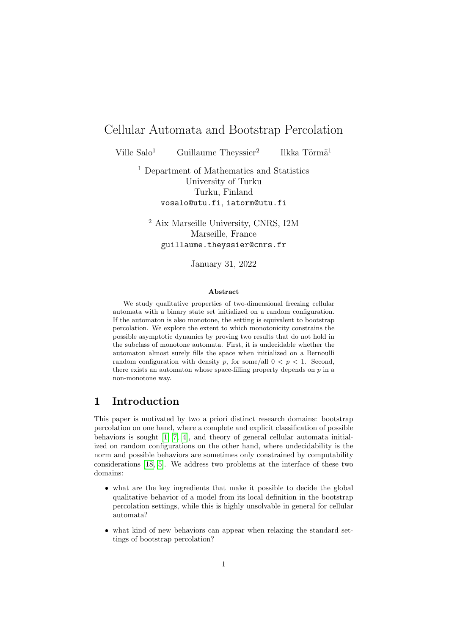# Cellular Automata and Bootstrap Percolation

Ville  $Salo<sup>1</sup>$  Guillaume Theyssier<sup>2</sup>

Ilkka Törmä $<sup>1</sup>$ </sup>

<sup>1</sup> Department of Mathematics and Statistics University of Turku Turku, Finland vosalo@utu.fi, iatorm@utu.fi

<sup>2</sup> Aix Marseille University, CNRS, I2M Marseille, France guillaume.theyssier@cnrs.fr

January 31, 2022

#### Abstract

We study qualitative properties of two-dimensional freezing cellular automata with a binary state set initialized on a random configuration. If the automaton is also monotone, the setting is equivalent to bootstrap percolation. We explore the extent to which monotonicity constrains the possible asymptotic dynamics by proving two results that do not hold in the subclass of monotone automata. First, it is undecidable whether the automaton almost surely fills the space when initialized on a Bernoulli random configuration with density p, for some/all  $0 < p < 1$ . Second, there exists an automaton whose space-filling property depends on  $p$  in a non-monotone way.

# 1 Introduction

This paper is motivated by two a priori distinct research domains: bootstrap percolation on one hand, where a complete and explicit classification of possible behaviors is sought [\[1,](#page-15-0) [7,](#page-16-0) [4\]](#page-16-1), and theory of general cellular automata initialized on random configurations on the other hand, where undecidability is the norm and possible behaviors are sometimes only constrained by computability considerations [\[18,](#page-17-0) [5\]](#page-16-2). We address two problems at the interface of these two domains:

- what are the key ingredients that make it possible to decide the global qualitative behavior of a model from its local definition in the bootstrap percolation settings, while this is highly unsolvable in general for cellular automata?
- what kind of new behaviors can appear when relaxing the standard settings of bootstrap percolation?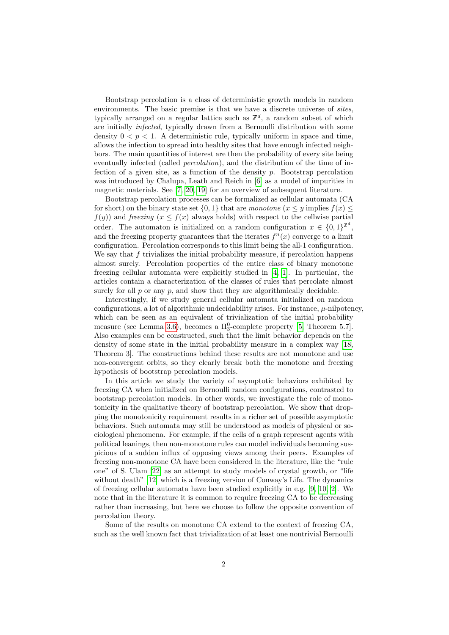Bootstrap percolation is a class of deterministic growth models in random environments. The basic premise is that we have a discrete universe of sites, typically arranged on a regular lattice such as  $\mathbb{Z}^d$ , a random subset of which are initially infected, typically drawn from a Bernoulli distribution with some density  $0 < p < 1$ . A deterministic rule, typically uniform in space and time, allows the infection to spread into healthy sites that have enough infected neighbors. The main quantities of interest are then the probability of every site being eventually infected (called *percolation*), and the distribution of the time of infection of a given site, as a function of the density  $p$ . Bootstrap percolation was introduced by Chalupa, Leath and Reich in [\[6\]](#page-16-3) as a model of impurities in magnetic materials. See [\[7,](#page-16-0) [20,](#page-17-1) [19\]](#page-17-2) for an overview of subsequent literature.

Bootstrap percolation processes can be formalized as cellular automata (CA for short) on the binary state set  $\{0, 1\}$  that are monotone  $(x \leq y$  implies  $f(x) \leq$  $f(y)$ ) and freezing  $(x \leq f(x))$  always holds) with respect to the cellwise partial order. The automaton is initialized on a random configuration  $x \in \{0,1\}^{\mathbb{Z}^d}$ , and the freezing property guarantees that the iterates  $f^{n}(x)$  converge to a limit configuration. Percolation corresponds to this limit being the all-1 configuration. We say that  $f$  trivializes the initial probability measure, if percolation happens almost surely. Percolation properties of the entire class of binary monotone freezing cellular automata were explicitly studied in [\[4,](#page-16-1) [1\]](#page-15-0). In particular, the articles contain a characterization of the classes of rules that percolate almost surely for all  $p$  or any  $p$ , and show that they are algorithmically decidable.

Interestingly, if we study general cellular automata initialized on random configurations, a lot of algorithmic undecidability arises. For instance,  $\mu$ -nilpotency, which can be seen as an equivalent of trivialization of the initial probability measure (see Lemma [3.6\)](#page-4-0), becomes a  $\Pi_3^0$ -complete property [\[5,](#page-16-2) Theorem 5.7]. Also examples can be constructed, such that the limit behavior depends on the density of some state in the initial probability measure in a complex way [\[18,](#page-17-0) Theorem 3]. The constructions behind these results are not monotone and use non-convergent orbits, so they clearly break both the monotone and freezing hypothesis of bootstrap percolation models.

In this article we study the variety of asymptotic behaviors exhibited by freezing CA when initialized on Bernoulli random configurations, contrasted to bootstrap percolation models. In other words, we investigate the role of monotonicity in the qualitative theory of bootstrap percolation. We show that dropping the monotonicity requirement results in a richer set of possible asymptotic behaviors. Such automata may still be understood as models of physical or sociological phenomena. For example, if the cells of a graph represent agents with political leanings, then non-monotone rules can model individuals becoming suspicious of a sudden influx of opposing views among their peers. Examples of freezing non-monotone CA have been considered in the literature, like the "rule one" of S. Ulam [\[22\]](#page-17-3) as an attempt to study models of crystal growth, or "life without death" [\[12\]](#page-16-4) which is a freezing version of Conway's Life. The dynamics of freezing cellular automata have been studied explicitly in e.g. [\[9,](#page-16-5) [10,](#page-16-6) [2\]](#page-16-7). We note that in the literature it is common to require freezing CA to be decreasing rather than increasing, but here we choose to follow the opposite convention of percolation theory.

Some of the results on monotone CA extend to the context of freezing CA, such as the well known fact that trivialization of at least one nontrivial Bernoulli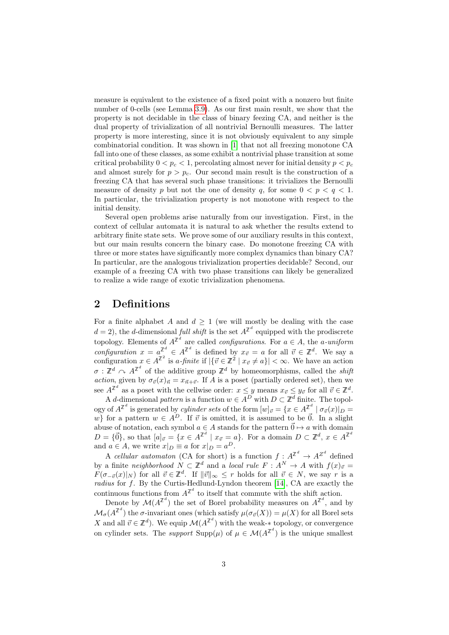measure is equivalent to the existence of a fixed point with a nonzero but finite number of 0-cells (see Lemma [3.9\)](#page-5-0). As our first main result, we show that the property is not decidable in the class of binary feezing CA, and neither is the dual property of trivialization of all nontrivial Bernoulli measures. The latter property is more interesting, since it is not obviously equivalent to any simple combinatorial condition. It was shown in [\[1\]](#page-15-0) that not all freezing monotone CA fall into one of these classes, as some exhibit a nontrivial phase transition at some critical probability  $0 < p_c < 1$ , percolating almost never for initial density  $p < p_c$ and almost surely for  $p > p_c$ . Our second main result is the construction of a freezing CA that has several such phase transitions: it trivializes the Bernoulli measure of density p but not the one of density q, for some  $0 < p < q < 1$ . In particular, the trivialization property is not monotone with respect to the initial density.

Several open problems arise naturally from our investigation. First, in the context of cellular automata it is natural to ask whether the results extend to arbitrary finite state sets. We prove some of our auxiliary results in this context, but our main results concern the binary case. Do monotone freezing CA with three or more states have significantly more complex dynamics than binary CA? In particular, are the analogous trivialization properties decidable? Second, our example of a freezing CA with two phase transitions can likely be generalized to realize a wide range of exotic trivialization phenomena.

# 2 Definitions

For a finite alphabet A and  $d \geq 1$  (we will mostly be dealing with the case  $d = 2$ , the d-dimensional full shift is the set  $A^{\mathbb{Z}^d}$  equipped with the prodiscrete topology. Elements of  $A^{\mathbb{Z}^d}$  are called *configurations*. For  $a \in A$ , the *a-uniform* configuration  $x = a^{\mathbb{Z}^d} \in A^{\mathbb{Z}^d}$  is defined by  $x_{\vec{v}} = a$  for all  $\vec{v} \in \mathbb{Z}^d$ . We say a configuration  $x \in A^{\mathbb{Z}^2}$  is a-finite if  $|\{\vec{v} \in \mathbb{Z}^2 \mid x_{\vec{v}} \neq a\}| < \infty$ . We have an action  $\sigma: \mathbb{Z}^d \curvearrowright A^{\mathbb{Z}^d}$  of the additive group  $\mathbb{Z}^d$  by homeomorphisms, called the *shift* action, given by  $\sigma_{\vec{v}}(x)_{\vec{n}} = x_{\vec{n}+\vec{v}}$ . If A is a poset (partially ordered set), then we see  $A^{\mathbb{Z}^d}$  as a poset with the cellwise order:  $x \leq y$  means  $x_{\vec{v}} \leq y_{\vec{v}}$  for all  $\vec{v} \in \mathbb{Z}^d$ .

A d-dimensional pattern is a function  $w \in A^D$  with  $D \subset \mathbb{Z}^d$  finite. The topology of  $A^{\mathbb{Z}^d}$  is generated by *cylinder sets* of the form  $[w]_{\vec{v}} = \{x \in A^{\mathbb{Z}^d} \mid \sigma_{\vec{v}}(x)|_{D} =$ w} for a pattern  $w \in A^D$ . If  $\vec{v}$  is omitted, it is assumed to be  $\vec{0}$ . In a slight abuse of notation, each symbol  $a \in A$  stands for the pattern  $\vec{0} \mapsto a$  with domain  $D = \{\vec{0}\}\text{, so that }[a]_{\vec{v}} = \{x \in A^{\mathbb{Z}^d} \mid x_{\vec{v}} = a\}\text{. For a domain } D \subset \mathbb{Z}^d, x \in A^{\mathbb{Z}^d}$ and  $a \in A$ , we write  $x|_D \equiv a$  for  $x|_D = a^D$ .

A cellular automaton (CA for short) is a function  $f: A^{\mathbb{Z}^d} \to A^{\mathbb{Z}^d}$  defined by a finite neighborhood  $N \subset \mathbb{Z}^d$  and a local rule  $F : A^N \to A$  with  $f(x)_{\vec{v}} =$  $F(\sigma_{-\vec{v}}(x)|_N)$  for all  $\vec{v} \in \mathbb{Z}^d$ . If  $\|\vec{v}\|_{\infty} \leq r$  holds for all  $\vec{v} \in N$ , we say r is a radius for  $f$ . By the Curtis-Hedlund-Lyndon theorem [\[14\]](#page-16-8), CA are exactly the continuous functions from  $A^{\mathbb{Z}^d}$  to itself that commute with the shift action.

Denote by  $\mathcal{M}(A^{\mathbb{Z}^d})$  the set of Borel probability measures on  $A^{\mathbb{Z}^d}$ , and by  $\mathcal{M}_{\sigma}(A^{\mathbb{Z}^d})$  the  $\sigma$ -invariant ones (which satisfy  $\mu(\sigma_{\vec{v}}(X)) = \mu(X)$  for all Borel sets X and all  $\vec{v} \in \mathbb{Z}^d$ ). We equip  $\mathcal{M}(A^{\mathbb{Z}^d})$  with the weak-\* topology, or convergence on cylinder sets. The *support*  $\text{Supp}(\mu)$  of  $\mu \in \mathcal{M}(A^{\mathbb{Z}^d})$  is the unique smallest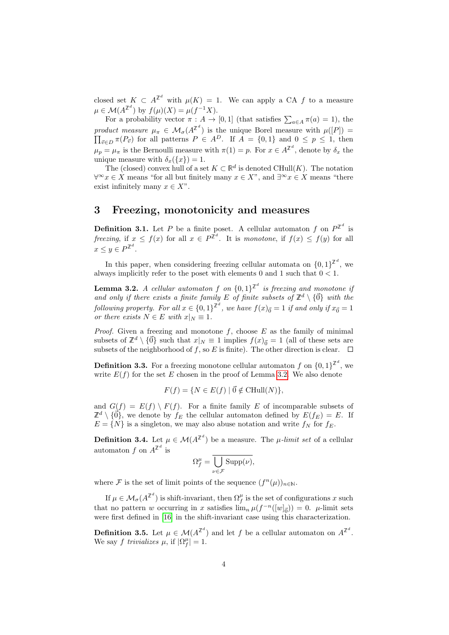closed set  $K \subset A^{\mathbb{Z}^d}$  with  $\mu(K) = 1$ . We can apply a CA f to a measure  $\mu \in \mathcal{M}(A^{\mathbb{Z}^d})$  by  $f(\mu)(X) = \mu(f^{-1}X).$ 

For a probability vector  $\pi : A \to [0,1]$  (that satisfies  $\sum_{a \in A} \pi(a) = 1$ ), the product measure  $\mu_{\pi} \in \mathcal{M}_{\sigma}(A^{\mathbb{Z}^d})$  $\Pi$ ) is the unique Borel measure with  $\mu([P]) =$  $v_{\vec{v}} \in D$   $\pi(P_{\vec{v}})$  for all patterns  $P \in A^D$ . If  $A = \{0,1\}$  and  $0 \le p \le 1$ , then  $\mu_p = \mu_\pi$  is the Bernoulli measure with  $\pi(1) = p$ . For  $x \in A^{\mathbb{Z}^d}$ , denote by  $\delta_x$  the unique measure with  $\delta_x({x}) = 1$ .

The (closed) convex hull of a set  $K \subset \mathbb{R}^d$  is denoted CHull $(K)$ . The notation  $\forall^\infty x \in X$  means "for all but finitely many  $x \in X$ ", and  $\exists^\infty x \in X$  means "there exist infinitely many  $x \in X$ ".

# 3 Freezing, monotonicity and measures

**Definition 3.1.** Let P be a finite poset. A cellular automaton f on  $P^{\mathbb{Z}^d}$  is freezing, if  $x \leq f(x)$  for all  $x \in P^{\mathbb{Z}^d}$ . It is monotone, if  $f(x) \leq f(y)$  for all  $x \leq y \in P^{\mathbb{Z}^d}$ .

In this paper, when considering freezing cellular automata on  $\{0,1\}^{\mathbb{Z}^d}$ , we always implicitly refer to the poset with elements 0 and 1 such that  $0 < 1$ .

<span id="page-3-0"></span>**Lemma 3.2.** A cellular automaton f on  $\{0,1\}^{\mathbb{Z}^d}$  is freezing and monotone if and only if there exists a finite family E of finite subsets of  $\mathbb{Z}^d \setminus \{ \vec{0} \}$  with the following property. For all  $x \in \{0,1\}^{\mathbb{Z}^d}$ , we have  $f(x)_{\vec{0}} = 1$  if and only if  $x_{\vec{0}} = 1$ or there exists  $N \in E$  with  $x|_N \equiv 1$ .

*Proof.* Given a freezing and monotone  $f$ , choose  $E$  as the family of minimal subsets of  $\mathbb{Z}^d \setminus {\{\vec{0}\}}$  such that  $x|_N \equiv 1$  implies  $f(x)_{\vec{0}} = 1$  (all of these sets are subsets of the neighborhood of f, so E is finite). The other direction is clear.  $\Box$ 

**Definition 3.3.** For a freezing monotone cellular automaton f on  $\{0,1\}^{\mathbb{Z}^d}$ , we write  $E(f)$  for the set E chosen in the proof of Lemma [3.2.](#page-3-0) We also denote

$$
F(f) = \{ N \in E(f) \mid \vec{0} \notin \text{CHull}(N) \},
$$

and  $G(f) = E(f) \setminus F(f)$ . For a finite family E of incomparable subsets of  $\mathbb{Z}^d \setminus \{ \vec{0} \}$ , we denote by  $f_E$  the cellular automaton defined by  $E(f_E) = E$ . If  $E = \{N\}$  is a singleton, we may also abuse notation and write  $f_N$  for  $f_E$ .

**Definition 3.4.** Let  $\mu \in \mathcal{M}(A^{\mathbb{Z}^d})$  be a measure. The  $\mu$ *-limit set* of a cellular automaton f on  $A^{\mathbb{Z}^d}$  is

$$
\Omega_f^{\mu} = \overline{\bigcup_{\nu \in \mathcal{F}} \mathrm{Supp}(\nu)},
$$

where F is the set of limit points of the sequence  $(f^n(\mu))_{n\in\mathbb{N}}$ .

If  $\mu \in \mathcal{M}_{\sigma}(A^{\mathbb{Z}^d})$  is shift-invariant, then  $\Omega_f^{\mu}$  is the set of configurations x such that no pattern w occurring in x satisfies  $\lim_{n} \mu(f^{-n}([w]_{\vec{0}})) = 0$ .  $\mu$ -limit sets were first defined in [\[16\]](#page-17-4) in the shift-invariant case using this characterization.

**Definition 3.5.** Let  $\mu \in \mathcal{M}(A^{\mathbb{Z}^d})$  and let f be a cellular automaton on  $A^{\mathbb{Z}^d}$ . We say f trivializes  $\mu$ , if  $|\Omega_f^{\mu}| = 1$ .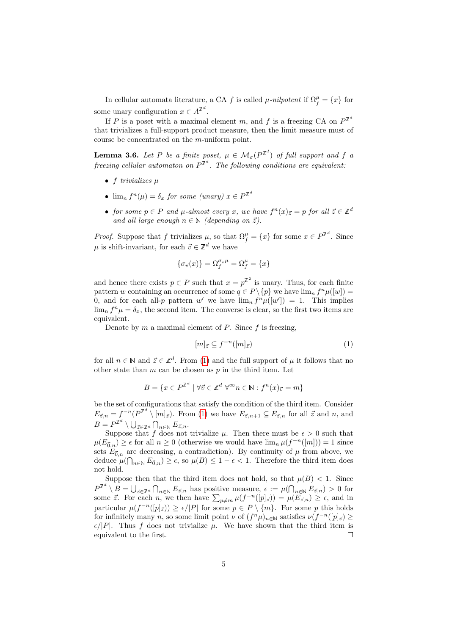In cellular automata literature, a CA f is called  $\mu$ -nilpotent if  $\Omega_f^{\mu} = \{x\}$  for some unary configuration  $x \in A^{\mathbb{Z}^d}$ .

If P is a poset with a maximal element m, and f is a freezing CA on  $P^{\mathbb{Z}^d}$ that trivializes a full-support product measure, then the limit measure must of course be concentrated on the m-uniform point.

<span id="page-4-0"></span>**Lemma 3.6.** Let P be a finite poset,  $\mu \in M_{\sigma}(P^{\mathbb{Z}^d})$  of full support and f a freezing cellular automaton on  $P^{\mathbb{Z}^d}$ . The following conditions are equivalent:

- f trivializes  $\mu$
- $\lim_{n} f^{n}(\mu) = \delta_{x}$  for some (unary)  $x \in P^{\mathbb{Z}^{d}}$
- for some  $p \in P$  and  $\mu$ -almost every x, we have  $f^n(x)_{\bar{z}} = p$  for all  $\bar{z} \in \mathbb{Z}^d$ and all large enough  $n \in \mathbb{N}$  (depending on  $\vec{z}$ ).

*Proof.* Suppose that f trivializes  $\mu$ , so that  $\Omega_f^{\mu} = \{x\}$  for some  $x \in P^{\mathbb{Z}^d}$ . Since  $\mu$  is shift-invariant, for each  $\vec{v} \in \mathbb{Z}^d$  we have

$$
\{\sigma_{\vec v}(x)\}=\Omega^{\sigma_{\vec v}\mu}_f=\Omega^\mu_f=\{x\}
$$

and hence there exists  $p \in P$  such that  $x = p^{\mathbb{Z}^2}$  is unary. Thus, for each finite pattern w containing an occurrence of some  $q \in P \setminus \{p\}$  we have  $\lim_{n} f^{n} \mu([w]) =$ 0, and for each all-p pattern w' we have  $\lim_{n} f^{n} \mu([w']) = 1$ . This implies  $\lim_{n} f^{n} \mu = \delta_{x}$ , the second item. The converse is clear, so the first two items are equivalent.

Denote by m a maximal element of P. Since  $f$  is freezing,

<span id="page-4-1"></span>
$$
[m]_{\vec{z}} \subseteq f^{-n}([m]_{\vec{z}})
$$
\n<sup>(1)</sup>

for all  $n \in \mathbb{N}$  and  $\vec{z} \in \mathbb{Z}^d$ . From [\(1\)](#page-4-1) and the full support of  $\mu$  it follows that no other state than  $m$  can be chosen as  $p$  in the third item. Let

$$
B = \{ x \in P^{\mathbb{Z}^d} \mid \forall \vec{v} \in \mathbb{Z}^d \ \forall^\infty n \in \mathbb{N} : f^n(x)_{\vec{v}} = m \}
$$

be the set of configurations that satisfy the condition of the third item. Consider  $E_{\vec{z},n} = f^{-n}(P^{\mathbb{Z}^d} \setminus [m]_{\vec{z}})$ . From [\(1\)](#page-4-1) we have  $E_{\vec{z},n+1} \subseteq E_{\vec{z},n}$  for all  $\vec{z}$  and n, and  $B = P^{\mathbb{Z}^d} \setminus \bigcup_{\vec{z} \in \mathbb{Z}^d} \bigcap_{n \in \mathbb{N}} E_{\vec{z},n}.$ 

Suppose that f does not trivialize  $\mu$ . Then there must be  $\epsilon > 0$  such that  $\mu(E_{\vec{0},n}) \geq \epsilon$  for all  $n \geq 0$  (otherwise we would have  $\lim_{n} \mu(f^{-n}([m])) = 1$  since sets  $E_{\vec{0},n}$  are decreasing, a contradiction). By continuity of  $\mu$  from above, we deduce  $\mu(\bigcap_{n\in\mathbb{N}} E_{\vec{0},n}) \geq \epsilon$ , so  $\mu(B) \leq 1-\epsilon < 1$ . Therefore the third item does not hold.

Suppose then that the third item does not hold, so that  $\mu(B) < 1$ . Since  $P^{\mathbb{Z}^d}\setminus B=\bigcup_{\vec{z}\in\mathbb{Z}^d}\bigcap_{n\in\mathbb{N}}E_{\vec{z},n}$  has positive measure,  $\epsilon:=\mu(\bigcap_{n\in\mathbb{N}}E_{\vec{z},n})>0$  for some  $\vec{z}$ . For each n, we then have  $\sum_{p\neq m} \mu(f^{-n}([p]_{\vec{z}})) = \mu(E_{\vec{z},n}) \geq \epsilon$ , and in particular  $\mu(f^{-n}([p]_{\vec{z}})) \geq \epsilon/|P|$  for some  $p \in P \setminus \{m\}$ . For some p this holds for infinitely many n, so some limit point  $\nu$  of  $(f^n\mu)_{n\in\mathbb{N}}$  satisfies  $\nu(f^{-n}([p]_{\vec{z}})) \ge$  $\epsilon/|P|$ . Thus f does not trivialize  $\mu$ . We have shown that the third item is equivalent to the first.  $\Box$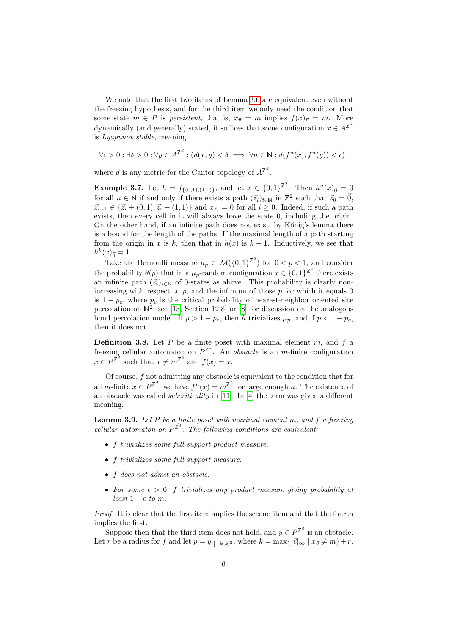We note that the first two items of Lemma [3.6](#page-4-0) are equivalent even without the freezing hypothesis, and for the third item we only need the condition that some state  $m \in P$  is persistent, that is,  $x_{\vec{v}} = m$  implies  $f(x)_{\vec{v}} = m$ . More dynamically (and generally) stated, it suffices that some configuration  $x \in A^{\mathbb{Z}^d}$ is Lyapunov stable, meaning

$$
\forall \epsilon > 0 : \exists \delta > 0 : \forall y \in A^{\mathbb{Z}^d} : (d(x, y) < \delta \implies \forall n \in \mathbb{N} : d(f^n(x), f^n(y)) < \epsilon),
$$

where d is any metric for the Cantor topology of  $A^{\mathbb{Z}^d}$ .

<span id="page-5-1"></span>**Example 3.7.** Let  $h = f_{\{(0,1),(1,1)\}}$ , and let  $x \in \{0,1\}^{\mathbb{Z}^2}$ . Then  $h^n(x)_{\vec{0}} = 0$ for all  $n \in \mathbb{N}$  if and only if there exists a path  $(\vec{z}_i)_{i\in\mathbb{N}}$  in  $\mathbb{Z}^2$  such that  $\vec{z}_0 = \vec{0}$ ,  $\vec{z}_{i+1} \in {\{\vec{z}_i + (0,1), \vec{z}_i + (1,1)\}}$  and  $x_{\vec{z}_i} = 0$  for all  $i \geq 0$ . Indeed, if such a path exists, then every cell in it will always have the state 0, including the origin. On the other hand, if an infinite path does not exist, by K˝onig's lemma there is a bound for the length of the paths. If the maximal length of a path starting from the origin in x is k, then that in  $h(x)$  is  $k-1$ . Inductively, we see that  $h^k(x)_{\vec{0}} = 1.$ 

Take the Bernoulli measure  $\mu_p \in \mathcal{M}(\{0,1\}^{\mathbb{Z}^2})$  for  $0 < p < 1$ , and consider the probability  $\theta(p)$  that in a  $\mu_p$ -random configuration  $x \in \{0,1\}^{\mathbb{Z}^2}$  there exists an infinite path  $(\vec{z}_i)_{i\in\mathbb{N}}$  of 0-states as above. This probability is clearly nonincreasing with respect to  $p$ , and the infimum of those  $p$  for which it equals 0 is  $1 - p_c$ , where  $p_c$  is the critical probability of nearest-neighbor oriented site percolation on  $\mathbb{N}^2$ ; see [\[13,](#page-16-9) Section 12.8] or [\[8\]](#page-16-10) for discussion on the analogous bond percolation model. If  $p > 1 - p_c$ , then h trivializes  $\mu_p$ , and if  $p < 1 - p_c$ , then it does not.

**Definition 3.8.** Let  $P$  be a finite poset with maximal element  $m$ , and  $f$  a freezing cellular automaton on  $P^{\mathbb{Z}^d}$ . An *obstacle* is an *m*-finite configuration  $x \in P^{\mathbb{Z}^d}$  such that  $x \neq m^{\mathbb{Z}^2}$  and  $f(x) = x$ .

Of course,  $f$  not admitting any obstacle is equivalent to the condition that for all *m*-finite  $x \in P^{\mathbb{Z}^d}$ , we have  $f^n(x) = m^{\mathbb{Z}^2}$  for large enough *n*. The existence of an obstacle was called subcriticality in [\[11\]](#page-16-11). In [\[4\]](#page-16-1) the term was given a different meaning.

<span id="page-5-0"></span>**Lemma 3.9.** Let  $P$  be a finite poset with maximal element  $m$ , and  $f$  a freezing cellular automaton on  $P^{\mathbb{Z}^d}$ . The following conditions are equivalent.

- f trivializes some full support product measure.
- f trivializes some full support measure.
- f does not admit an obstacle.
- For some  $\epsilon > 0$ , f trivializes any product measure giving probability at least  $1 - \epsilon$  to m.

Proof. It is clear that the first item implies the second item and that the fourth implies the first.

Suppose then that the third item does not hold, and  $y \in P^{\mathbb{Z}^d}$  is an obstacle. Let r be a radius for f and let  $p = y|_{[-k,k]^2}$ , where  $k = \max\{|\vec{v}|_{\infty} | x_{\vec{v}} \neq m\} + r$ .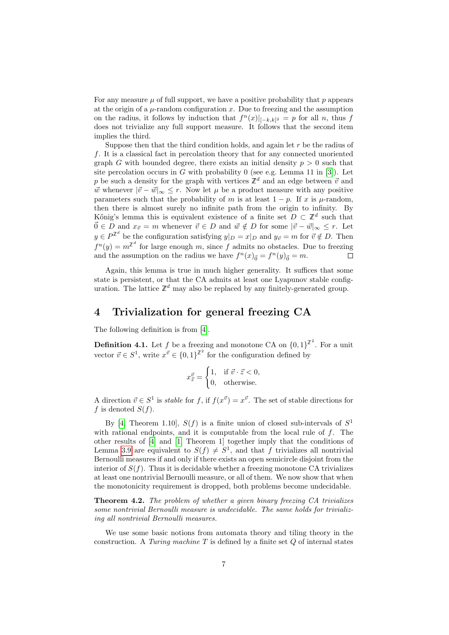For any measure  $\mu$  of full support, we have a positive probability that  $p$  appears at the origin of a  $\mu$ -random configuration x. Due to freezing and the assumption on the radius, it follows by induction that  $f^{(n)}(x)|_{[-k,k]^2} = p$  for all n, thus f does not trivialize any full support measure. It follows that the second item implies the third.

Suppose then that the third condition holds, and again let  $r$  be the radius of f. It is a classical fact in percolation theory that for any connected unoriented graph G with bounded degree, there exists an initial density  $p > 0$  such that site percolation occurs in  $G$  with probability 0 (see e.g. Lemma 11 in [\[3\]](#page-16-12)). Let p be such a density for the graph with vertices  $\mathbb{Z}^d$  and an edge between  $\vec{v}$  and  $\vec{w}$  whenever  $|\vec{v} - \vec{w}|_{\infty} \leq r$ . Now let  $\mu$  be a product measure with any positive parameters such that the probability of m is at least  $1 - p$ . If x is  $\mu$ -random, then there is almost surely no infinite path from the origin to infinity. By Kőnig's lemma this is equivalent existence of a finite set  $D \subset \mathbb{Z}^d$  such that  $\vec{0} \in D$  and  $x_{\vec{v}} = m$  whenever  $\vec{v} \in D$  and  $\vec{w} \notin D$  for some  $|\vec{v} - \vec{w}|_{\infty} \leq r$ . Let  $y \in P^{\mathbb{Z}^d}$  be the configuration satisfying  $y|_D = x|_D$  and  $y_{\vec{v}} = m$  for  $\vec{v} \notin D$ . Then  $f^{n}(y) = m^{\mathbb{Z}^{d}}$  for large enough m, since f admits no obstacles. Due to freezing and the assumption on the radius we have  $f^{n}(x)_{\vec{0}} = f^{n}(y)_{\vec{0}} = m$ . Г

Again, this lemma is true in much higher generality. It suffices that some state is persistent, or that the CA admits at least one Lyapunov stable configuration. The lattice  $\mathbb{Z}^d$  may also be replaced by any finitely-generated group.

# <span id="page-6-1"></span>4 Trivialization for general freezing CA

The following definition is from [\[4\]](#page-16-1).

**Definition 4.1.** Let f be a freezing and monotone CA on  $\{0,1\}^{\mathbb{Z}^2}$ . For a unit vector  $\vec{v} \in S^1$ , write  $x^{\vec{v}} \in \{0,1\}^{\mathbb{Z}^2}$  for the configuration defined by

$$
x_{\vec{z}}^{\vec{v}} = \begin{cases} 1, & \text{if } \vec{v} \cdot \vec{z} < 0, \\ 0, & \text{otherwise.} \end{cases}
$$

A direction  $\vec{v} \in S^1$  is *stable* for f, if  $f(x^{\vec{v}}) = x^{\vec{v}}$ . The set of stable directions for f is denoted  $S(f)$ .

By [\[4,](#page-16-1) Theorem 1.10],  $S(f)$  is a finite union of closed sub-intervals of  $S<sup>1</sup>$ with rational endpoints, and it is computable from the local rule of  $f$ . The other results of [\[4\]](#page-16-1) and [\[1,](#page-15-0) Theorem 1] together imply that the conditions of Lemma [3.9](#page-5-0) are equivalent to  $S(f) \neq S^1$ , and that f trivializes all nontrivial Bernoulli measures if and only if there exists an open semicircle disjoint from the interior of  $S(f)$ . Thus it is decidable whether a freezing monotone CA trivializes at least one nontrivial Bernoulli measure, or all of them. We now show that when the monotonicity requirement is dropped, both problems become undecidable.

<span id="page-6-0"></span>Theorem 4.2. The problem of whether a given binary freezing CA trivializes some nontrivial Bernoulli measure is undecidable. The same holds for trivializing all nontrivial Bernoulli measures.

We use some basic notions from automata theory and tiling theory in the construction. A Turing machine T is defined by a finite set  $Q$  of internal states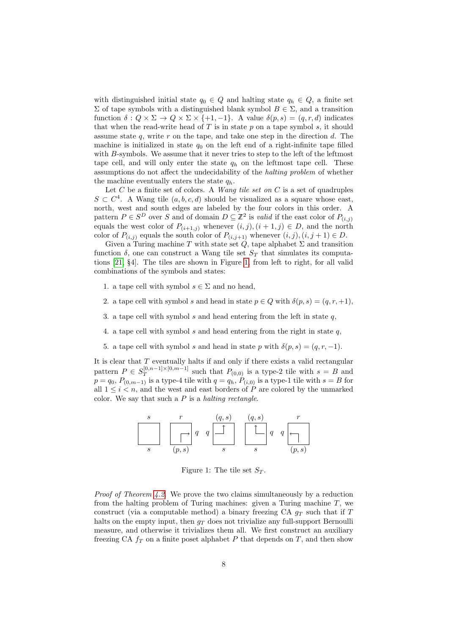with distinguished initial state  $q_0 \in Q$  and halting state  $q_h \in Q$ , a finite set  $Σ$  of tape symbols with a distinguished blank symbol  $B ∈ Σ$ , and a transition function  $\delta: Q \times \Sigma \to Q \times \Sigma \times \{+1, -1\}$ . A value  $\delta(p, s) = (q, r, d)$  indicates that when the read-write head of  $T$  is in state  $p$  on a tape symbol  $s$ , it should assume state  $q$ , write  $r$  on the tape, and take one step in the direction  $d$ . The machine is initialized in state  $q_0$  on the left end of a right-infinite tape filled with B-symbols. We assume that it never tries to step to the left of the leftmost tape cell, and will only enter the state  $q_h$  on the leftmost tape cell. These assumptions do not affect the undecidability of the halting problem of whether the machine eventually enters the state  $q_h$ .

Let C be a finite set of colors. A Wang tile set on C is a set of quadruples  $S \subset C<sup>4</sup>$ . A Wang tile  $(a, b, c, d)$  should be visualized as a square whose east, north, west and south edges are labeled by the four colors in this order. A pattern  $P \in S^D$  over S and of domain  $D \subseteq \mathbb{Z}^2$  is valid if the east color of  $P_{(i,j)}$ equals the west color of  $P_{(i+1,j)}$  whenever  $(i, j), (i + 1, j) \in D$ , and the north color of  $P_{(i,j)}$  equals the south color of  $P_{(i,j+1)}$  whenever  $(i,j),(i,j+1) \in D$ .

Given a Turing machine T with state set  $\overrightarrow{Q}$ , tape alphabet  $\Sigma$  and transition function  $\delta$ , one can construct a Wang tile set  $S_T$  that simulates its computations [\[21,](#page-17-5) §4]. The tiles are shown in Figure [1,](#page-7-0) from left to right, for all valid combinations of the symbols and states:

- 1. a tape cell with symbol  $s \in \Sigma$  and no head,
- 2. a tape cell with symbol s and head in state  $p \in Q$  with  $\delta(p, s) = (q, r, +1)$ ,
- 3. a tape cell with symbol s and head entering from the left in state  $q$ ,
- 4. a tape cell with symbol s and head entering from the right in state  $q$ ,
- 5. a tape cell with symbol s and head in state p with  $\delta(p, s) = (q, r, -1)$ .

It is clear that  $T$  eventually halts if and only if there exists a valid rectangular pattern  $P \in S_T^{[0,n-1] \times [0,m-1]}$  $T^{[0,n-1]\times[0,m-1]}$  such that  $P_{(0,0)}$  is a type-2 tile with  $s = B$  and  $p = q_0$ ,  $P_{(0,m-1)}$  is a type-4 tile with  $q = q_h$ ,  $P_{(i,0)}$  is a type-1 tile with  $s = B$  for all  $1 \leq i \leq n$ , and the west and east borders of P are colored by the unmarked color. We say that such a  $P$  is a *halting rectangle*.

$$
\begin{array}{c|c|c}\n s & r & (q, s) & (q, s) & r \\
\hline\n & & q & \boxed{1} & \boxed{1} & q & q & \boxed{1} \\
\hline\n & & & s & s & (p, s)\n\end{array}
$$

<span id="page-7-0"></span>Figure 1: The tile set  $S_T$ .

Proof of Theorem [4.2.](#page-6-0) We prove the two claims simultaneously by a reduction from the halting problem of Turing machines: given a Turing machine  $T$ , we construct (via a computable method) a binary freezing CA  $q_T$  such that if T halts on the empty input, then  $g_T$  does not trivialize any full-support Bernoulli measure, and otherwise it trivializes them all. We first construct an auxiliary freezing CA  $f_T$  on a finite poset alphabet P that depends on T, and then show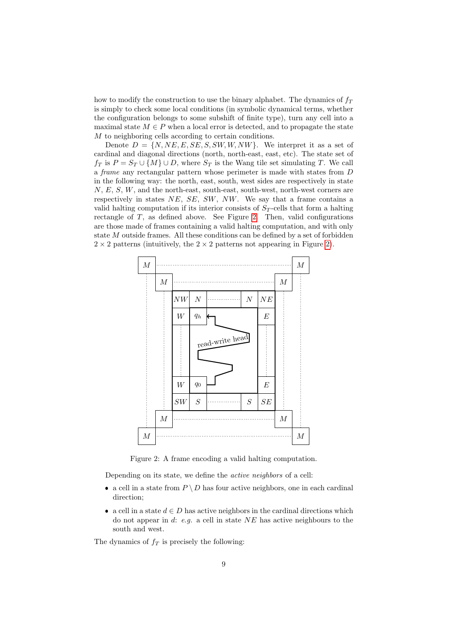how to modify the construction to use the binary alphabet. The dynamics of  $f<sub>T</sub>$ is simply to check some local conditions (in symbolic dynamical terms, whether the configuration belongs to some subshift of finite type), turn any cell into a maximal state  $M \in P$  when a local error is detected, and to propagate the state M to neighboring cells according to certain conditions.

Denote  $D = \{N, NE, E, SE, S, SW, W, NW\}$ . We interpret it as a set of cardinal and diagonal directions (north, north-east, east, etc). The state set of  $f_T$  is  $P = S_T \cup \{M\} \cup D$ , where  $S_T$  is the Wang tile set simulating T. We call a frame any rectangular pattern whose perimeter is made with states from D in the following way: the north, east, south, west sides are respectively in state  $N, E, S, W$ , and the north-east, south-east, south-west, north-west corners are respectively in states  $NE$ ,  $SE$ ,  $SW$ ,  $NW$ . We say that a frame contains a valid halting computation if its interior consists of  $S_T$ -cells that form a halting rectangle of  $T$ , as defined above. See Figure [2.](#page-8-0) Then, valid configurations are those made of frames containing a valid halting computation, and with only state M outside frames. All these conditions can be defined by a set of forbidden  $2 \times 2$  patterns (intuitively, the  $2 \times 2$  patterns not appearing in Figure [2\)](#page-8-0).



<span id="page-8-0"></span>Figure 2: A frame encoding a valid halting computation.

Depending on its state, we define the *active neighbors* of a cell:

- a cell in a state from  $P \setminus D$  has four active neighbors, one in each cardinal direction;
- a cell in a state  $d \in D$  has active neighbors in the cardinal directions which do not appear in d: e.g. a cell in state  $NE$  has active neighbours to the south and west.

The dynamics of  $f_T$  is precisely the following: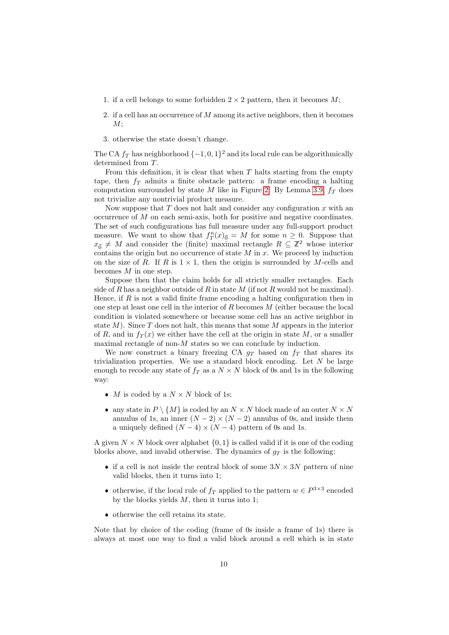- 1. if a cell belongs to some forbidden  $2 \times 2$  pattern, then it becomes M;
- 2. if a cell has an occurrence of M among its active neighbors, then it becomes  $M$ ;
- 3. otherwise the state doesn't change.

The CA  $f_T$  has neighborhood  $\{-1,0,1\}^2$  and its local rule can be algorithmically determined from T.

From this definition, it is clear that when  $T$  halts starting from the empty tape, then  $f_T$  admits a finite obstacle pattern: a frame encoding a halting computation surrounded by state M like in Figure [2.](#page-8-0) By Lemma [3.9,](#page-5-0)  $f_T$  does not trivialize any nontrivial product measure.

Now suppose that  $T$  does not halt and consider any configuration  $x$  with an occurrence of  $M$  on each semi-axis, both for positive and negative coordinates. The set of such configurations has full measure under any full-support product measure. We want to show that  $f_T^n(x)_{\vec{0}} = M$  for some  $n \geq 0$ . Suppose that  $x_{\vec{0}} \neq M$  and consider the (finite) maximal rectangle  $R \subseteq \mathbb{Z}^2$  whose interior contains the origin but no occurrence of state  $M$  in  $x$ . We proceed by induction on the size of R. If R is  $1 \times 1$ , then the origin is surrounded by M-cells and becomes  $M$  in one step.

Suppose then that the claim holds for all strictly smaller rectangles. Each side of R has a neighbor outside of R in state M (if not R would not be maximal). Hence, if  $R$  is not a valid finite frame encoding a halting configuration then in one step at least one cell in the interior of  $R$  becomes  $M$  (either because the local condition is violated somewhere or because some cell has an active neighbor in state  $M$ ). Since  $T$  does not halt, this means that some  $M$  appears in the interior of R, and in  $f_T(x)$  we either have the cell at the origin in state M, or a smaller maximal rectangle of non- $M$  states so we can conclude by induction.

We now construct a binary freezing CA  $g_T$  based on  $f_T$  that shares its trivialization properties. We use a standard block encoding. Let  $N$  be large enough to recode any state of  $f_T$  as a  $N \times N$  block of 0s and 1s in the following way:

- $\bullet$  *M* is coded by a  $N \times N$  block of 1s;
- any state in  $P \setminus \{M\}$  is coded by an  $N \times N$  block made of an outer  $N \times N$ annulus of 1s, an inner  $(N-2) \times (N-2)$  annulus of 0s, and inside them a uniquely defined  $(N-4) \times (N-4)$  pattern of 0s and 1s.

A given  $N \times N$  block over alphabet  $\{0, 1\}$  is called valid if it is one of the coding blocks above, and invalid otherwise. The dynamics of  $g_T$  is the following:

- if a cell is not inside the central block of some  $3N \times 3N$  pattern of nine valid blocks, then it turns into 1;
- otherwise, if the local rule of  $f_T$  applied to the pattern  $w \in P^{3 \times 3}$  encoded by the blocks yields  $M$ , then it turns into 1;
- otherwise the cell retains its state.

Note that by choice of the coding (frame of 0s inside a frame of 1s) there is always at most one way to find a valid block around a cell which is in state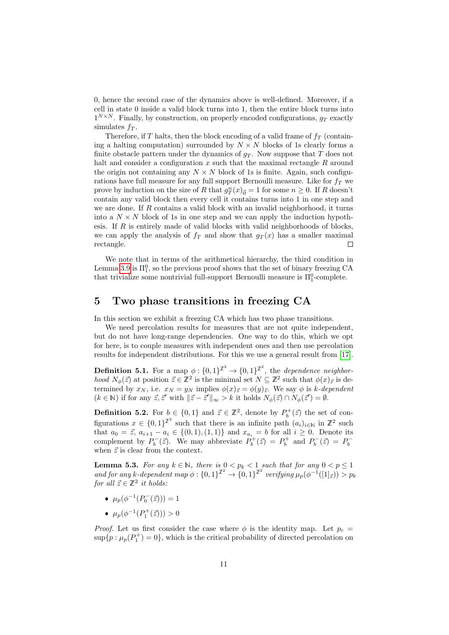0, hence the second case of the dynamics above is well-defined. Moreover, if a cell in state 0 inside a valid block turns into 1, then the entire block turns into  $1^{N \times N}$ . Finally, by construction, on properly encoded configurations,  $g_T$  exactly simulates  $f_T$ .

Therefore, if T halts, then the block encoding of a valid frame of  $f<sub>T</sub>$  (containing a halting computation) surrounded by  $N \times N$  blocks of 1s clearly forms a finite obstacle pattern under the dynamics of  $q_T$ . Now suppose that T does not halt and consider a configuration  $x$  such that the maximal rectangle  $R$  around the origin not containing any  $N \times N$  block of 1s is finite. Again, such configurations have full measure for any full support Bernoulli measure. Like for  $f<sub>T</sub>$  we prove by induction on the size of R that  $g_T^n(x)_{\vec{0}} = 1$  for some  $n \geq 0$ . If R doesn't contain any valid block then every cell it contains turns into 1 in one step and we are done. If  $R$  contains a valid block with an invalid neighborhood, it turns into a  $N \times N$  block of 1s in one step and we can apply the induction hypothesis. If  $R$  is entirely made of valid blocks with valid neighborhoods of blocks, we can apply the analysis of  $f_T$  and show that  $g_T(x)$  has a smaller maximal rectangle.  $\Box$ 

We note that in terms of the arithmetical hierarchy, the third condition in Lemma [3.9](#page-5-0) is  $\Pi_1^0$ , so the previous proof shows that the set of binary freezing CA that trivialize some nontrivial full-support Bernoulli measure is  $\Pi^0_1$ -complete.

# 5 Two phase transitions in freezing CA

In this section we exhibit a freezing CA which has two phase transitions.

We need percolation results for measures that are not quite independent, but do not have long-range dependencies. One way to do this, which we opt for here, is to couple measures with independent ones and then use percolation results for independent distributions. For this we use a general result from [\[17\]](#page-17-6).

**Definition 5.1.** For a map  $\phi: \{0,1\}^{\mathbb{Z}^2} \to \{0,1\}^{\mathbb{Z}^2}$ , the *dependence neighbor*hood  $N_{\phi}(\vec{z})$  at position  $\vec{z} \in \mathbb{Z}^2$  is the minimal set  $N \subseteq \mathbb{Z}^2$  such that  $\phi(x)_{\vec{z}}$  is determined by  $x_N$ , i.e.  $x_N = y_N$  implies  $\phi(x)_{\vec{z}} = \phi(y)_{\vec{z}}$ . We say  $\phi$  is k-dependent  $(k \in \mathbb{N})$  if for any  $\vec{z}, \vec{z}'$  with  $\|\vec{z} - \vec{z}'\|_{\infty} > k$  it holds  $N_{\phi}(\vec{z}) \cap N_{\phi}(\vec{z}') = \emptyset$ .

<span id="page-10-1"></span>**Definition 5.2.** For  $b \in \{0,1\}$  and  $\vec{z} \in \mathbb{Z}^2$ , denote by  $P_b^+(\vec{z})$  the set of configurations  $x \in \{0,1\}^{\mathbb{Z}^2}$  such that there is an infinite path  $(a_i)_{i\in\mathbb{N}}$  in  $\mathbb{Z}^2$  such that  $a_0 = \vec{z}, a_{i+1} - a_i \in \{(0,1), (1,1)\}\$  and  $x_{a_i} = b$  for all  $i \geq 0$ . Denote its complement by  $P_b^-(\vec{z})$ . We may abbreviate  $P_b^+(\vec{z}) = P_b^+$  and  $P_b^-(\vec{z}) = P_b^$ when  $\vec{z}$  is clear from the context.

<span id="page-10-0"></span>**Lemma 5.3.** For any  $k \in \mathbb{N}$ , there is  $0 \leq p_k \leq 1$  such that for any  $0 \leq p \leq 1$ and for any k-dependent map  $\phi: \{0,1\}^{\mathbb{Z}^2} \to \{0,1\}^{\mathbb{Z}^2}$  verifying  $\mu_p(\phi^{-1}([1]_{\vec{z}})) > p_k$ for all  $\vec{z} \in \mathbb{Z}^2$  it holds:

- $\mu_p(\phi^{-1}(P_0^{-}(\vec{z}))) = 1$
- $\mu_p(\phi^{-1}(P_1^+(\vec{z}))) > 0$

*Proof.* Let us first consider the case where  $\phi$  is the identity map. Let  $p_c =$  $\sup\{p : \mu_p(P_1^+) = 0\}$ , which is the critical probability of directed percolation on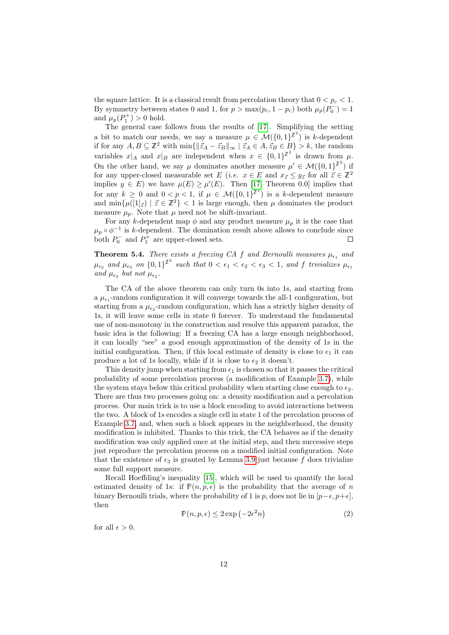the square lattice. It is a classical result from percolation theory that  $0 < p_c < 1$ . By symmetry between states 0 and 1, for  $p > \max(p_c, 1 - p_c)$  both  $\mu_p(P_0^-) = 1$ and  $\mu_p(P_1^+) > 0$  hold.

The general case follows from the results of [\[17\]](#page-17-6). Simplifying the setting a bit to match our needs, we say a measure  $\mu \in \mathcal{M}(\{0,1\}^{\mathbb{Z}^2})$  is k-dependent if for any  $A, B \subseteq \mathbb{Z}^2$  with  $\min\{\|\vec{z}_A - \vec{z}_B\|_{\infty} \mid \vec{z}_A \in A, \vec{z}_B \in B\} > k$ , the random variables  $x|_A$  and  $x|_B$  are independent when  $x \in \{0,1\}^{\mathbb{Z}^2}$  is drawn from  $\mu$ . On the other hand, we say  $\mu$  dominates another measure  $\mu' \in \mathcal{M}(\{0,1\}^{\mathbb{Z}^2})$  if for any upper-closed measurable set E (*i.e.*  $x \in E$  and  $x_{\vec{z}} \le y_{\vec{z}}$  for all  $\vec{z} \in \mathbb{Z}^2$ implies  $y \in E$ ) we have  $\mu(E) \ge \mu'(E)$ . Then [\[17,](#page-17-6) Theorem 0.0] implies that for any  $k \geq 0$  and  $0 < p < 1$ , if  $\mu \in \mathcal{M}(\{0,1\}^{\mathbb{Z}^2})$  is a k-dependent measure and  $\min{\{\mu([1]_{\vec{z}}) \mid \vec{z} \in \mathbb{Z}^2\}}$  < 1 is large enough, then  $\mu$  dominates the product measure  $\mu_p$ . Note that  $\mu$  need not be shift-invariant.

For any k-dependent map  $\phi$  and any product measure  $\mu_p$  it is the case that  $\mu_p \circ \phi^{-1}$  is k-dependent. The domination result above allows to conclude since both  $P_0^-$  and  $P_1^+$  are upper-closed sets.  $\Box$ 

<span id="page-11-0"></span>**Theorem 5.4.** There exists a freezing CA f and Bernoulli measures  $\mu_{\epsilon_1}$  and  $\mu_{\epsilon_2}$  and  $\mu_{\epsilon_3}$  on  $\{0,1\}^{\mathbb{Z}^2}$  such that  $0 < \epsilon_1 < \epsilon_2 < \epsilon_3 < 1$ , and f trivializes  $\mu_{\epsilon_1}$ and  $\mu_{\epsilon_3}$  but not  $\mu_{\epsilon_2}$ .

The CA of the above theorem can only turn 0s into 1s, and starting from a  $\mu_{\epsilon_1}$ -random configuration it will converge towards the all-1 configuration, but starting from a  $\mu_{\epsilon_2}$ -random configuration, which has a strictly higher density of 1s, it will leave some cells in state 0 forever. To understand the fundamental use of non-monotony in the construction and resolve this apparent paradox, the basic idea is the following: If a freezing CA has a large enough neighborhood, it can locally "see" a good enough approximation of the density of 1s in the initial configuration. Then, if this local estimate of density is close to  $\epsilon_1$  it can produce a lot of 1s locally, while if it is close to  $\epsilon_2$  it doesn't.

This density jump when starting from  $\epsilon_1$  is chosen so that it passes the critical probability of some percolation process (a modification of Example [3.7\)](#page-5-1), while the system stays below this critical probability when starting close enough to  $\epsilon_2$ . There are thus two processes going on: a density modification and a percolation process. Our main trick is to use a block encoding to avoid interactions between the two. A block of 1s encodes a single cell in state 1 of the percolation process of Example [3.7,](#page-5-1) and, when such a block appears in the neighborhood, the density modification is inhibited. Thanks to this trick, the CA behaves as if the density modification was only applied once at the initial step, and then successive steps just reproduce the percolation process on a modified initial configuration. Note that the existence of  $\epsilon_3$  is granted by Lemma [3.9](#page-5-0) just because f does trivialize some full support measure.

Recall Hoeffding's inequality [\[15\]](#page-16-13), which will be used to quantify the local estimated density of 1s: if  $\mathbb{P}(n, p, \epsilon)$  is the probability that the average of n binary Bernoulli trials, where the probability of 1 is p, does not lie in  $[p-\epsilon, p+\epsilon]$ , then

<span id="page-11-1"></span>
$$
\mathbb{P}(n, p, \epsilon) \le 2 \exp\left(-2\epsilon^2 n\right) \tag{2}
$$

for all  $\epsilon > 0$ .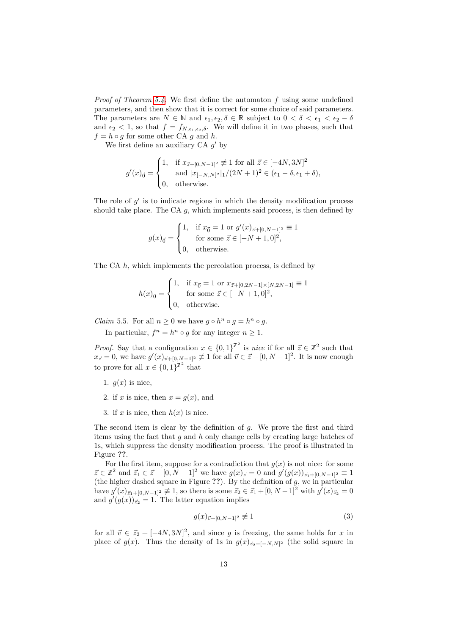*Proof of Theorem [5.4.](#page-11-0)* We first define the automaton  $f$  using some undefined parameters, and then show that it is correct for some choice of said parameters. The parameters are  $N \in \mathbb{N}$  and  $\epsilon_1, \epsilon_2, \delta \in \mathbb{R}$  subject to  $0 < \delta < \epsilon_1 < \epsilon_2 - \delta$ and  $\epsilon_2$  < 1, so that  $f = f_{N,\epsilon_1,\epsilon_2,\delta}$ . We will define it in two phases, such that  $f = h \circ g$  for some other CA g and h.

We first define an auxiliary  $CA\ g'$  by

$$
g'(x)_{\vec{0}} = \begin{cases} 1, & \text{if } x_{\vec{z} + [0, N-1]^2} \not\equiv 1 \text{ for all } \vec{z} \in [-4N, 3N]^2 \\ & \text{and } |x_{[-N, N]^2}|_1 / (2N+1)^2 \in (\epsilon_1 - \delta, \epsilon_1 + \delta), \\ 0, & \text{otherwise.} \end{cases}
$$

The role of  $g'$  is to indicate regions in which the density modification process should take place. The CA  $g$ , which implements said process, is then defined by

$$
g(x)_{\vec{0}} = \begin{cases} 1, & \text{if } x_{\vec{0}} = 1 \text{ or } g'(x)_{\vec{z} + [0, N-1]^2} \equiv 1 \\ & \text{for some } \vec{z} \in [-N+1, 0]^2, \\ 0, & \text{otherwise.} \end{cases}
$$

The CA h, which implements the percolation process, is defined by

$$
h(x)_{\vec{0}} = \begin{cases} 1, & \text{if } x_{\vec{0}} = 1 \text{ or } x_{\vec{z} + [0, 2N - 1] \times [N, 2N - 1]} \equiv 1 \\ & \text{for some } \vec{z} \in [-N + 1, 0]^2, \\ 0, & \text{otherwise.} \end{cases}
$$

<span id="page-12-1"></span>*Claim* 5.5. For all  $n \geq 0$  we have  $g \circ h^n \circ g = h^n \circ g$ .

In particular,  $f^n = h^n \circ g$  for any integer  $n \geq 1$ .

*Proof.* Say that a configuration  $x \in \{0,1\}^{\mathbb{Z}^2}$  is nice if for all  $\vec{z} \in \mathbb{Z}^2$  such that  $x_{\vec{z}} = 0$ , we have  $g'(x)_{\vec{v} + [0, N-1]^2} \not\equiv 1$  for all  $\vec{v} \in \vec{z} - [0, N-1]^2$ . It is now enough to prove for all  $x \in \{0,1\}^{\mathbb{Z}^2}$  that

- 1.  $q(x)$  is nice,
- 2. if x is nice, then  $x = g(x)$ , and
- 3. if x is nice, then  $h(x)$  is nice.

The second item is clear by the definition of  $g$ . We prove the first and third items using the fact that  $g$  and  $h$  only change cells by creating large batches of 1s, which suppress the density modification process. The proof is illustrated in Figure ??.

For the first item, suppose for a contradiction that  $g(x)$  is not nice: for some  $\vec{z} \in \mathbb{Z}^2$  and  $\vec{z}_1 \in \vec{z} - [0, N - 1]^2$  we have  $g(x)_{\vec{z}} = 0$  and  $g'(g(x))_{\vec{z}_1 + [0, N - 1]^2} \equiv 1$ (the higher dashed square in Figure  $\mathcal{P}$ ). By the definition of g, we in particular have  $g'(x)_{\vec{z}_1 + [0,N-1]^2} \not\equiv 1$ , so there is some  $\vec{z}_2 \in \vec{z}_1 + [0,N-1]^2$  with  $g'(x)_{\vec{z}_2} = 0$ and  $g'(g(x))_{\vec{z}_2} = 1$ . The latter equation implies

<span id="page-12-0"></span>
$$
g(x)_{\vec{v}+[0,N-1]^2} \not\equiv 1\tag{3}
$$

for all  $\vec{v} \in \vec{z}_2 + [-4N, 3N]^2$ , and since g is freezing, the same holds for x in place of  $g(x)$ . Thus the density of 1s in  $g(x)_{\vec{z}_2+[-N,N]^2}$  (the solid square in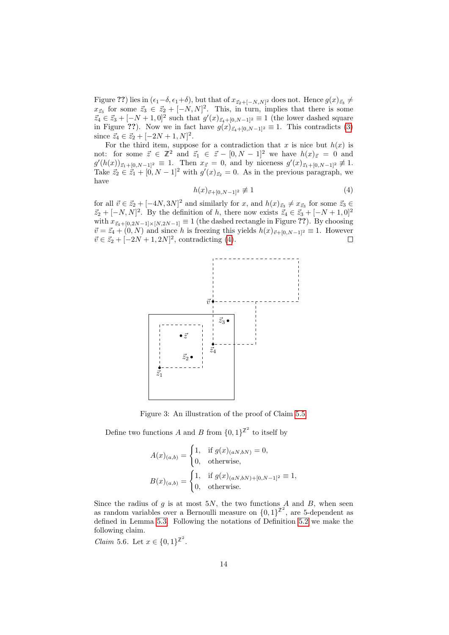Figure ??) lies in  $(\epsilon_1-\delta, \epsilon_1+\delta)$ , but that of  $x_{\vec{z}_2+[-N,N]^2}$  does not. Hence  $g(x)_{\vec{z}_3} \neq$  $x_{\vec{z}_3}$  for some  $\vec{z}_3 \in \vec{z}_2 + [-N, N]^2$ . This, in turn, implies that there is some  $\vec{z}_4 \in \vec{z}_3 + [-N+1, 0]^2$  such that  $g'(x)_{\vec{z}_4+[0,N-1]^2} \equiv 1$  (the lower dashed square in Figure ??). Now we in fact have  $g(x)_{z_4+[0,N-1]^2} \equiv 1$ . This contradicts [\(3\)](#page-12-0) since  $\vec{z}_4 \in \vec{z}_2 + [-2N+1, N]^2$ .

For the third item, suppose for a contradiction that x is nice but  $h(x)$  is not: for some  $\vec{z} \in \mathbb{Z}^2$  and  $\vec{z}_1 \in \vec{z} - [0, N - 1]^2$  we have  $h(x)_{\vec{z}} = 0$  and  $g'(h(x))_{\vec{z}_1+[0,N-1]^2} \equiv 1$ . Then  $x_{\vec{z}}=0$ , and by niceness  $g'(x)_{\vec{z}_1+[0,N-1]^2} \not\equiv 1$ . Take  $\vec{z}_2 \in \dot{\vec{z}}_1 + [0, N-1]^2$  with  $g'(x)_{\vec{z}_2} = 0$ . As in the previous paragraph, we have

<span id="page-13-0"></span>
$$
h(x)_{\vec{v}+[0,N-1]^2} \not\equiv 1\tag{4}
$$

for all  $\vec{v} \in \vec{z}_2 + [-4N, 3N]^2$  and similarly for x, and  $h(x)_{\vec{z}_3} \neq x_{\vec{z}_3}$  for some  $\vec{z}_3 \in$  $\vec{z}_2 + [-N, N]^2$ . By the definition of h, there now exists  $\vec{z}_4 \in \vec{z}_3 + [-N + 1, 0]^2$ with  $x_{\vec{z}_4+[0,2N-1]\times[N,2N-1]} \equiv 1$  (the dashed rectangle in Figure ??). By choosing  $\vec{v} = \vec{z}_4 + (0, N)$  and since h is freezing this yields  $h(x)_{\vec{v}+[0,N-1]^2} \equiv 1$ . However  $\vec{v} \in \vec{z}_2 + [-2N + 1, 2N]^2$ , contradicting [\(4\)](#page-13-0).  $\Box$ 



Figure 3: An illustration of the proof of Claim [5.5.](#page-12-1)

Define two functions A and B from  $\{0,1\}^{\mathbb{Z}^2}$  to itself by

$$
A(x)_{(a,b)} = \begin{cases} 1, & \text{if } g(x)_{(aN,bN)} = 0, \\ 0, & \text{otherwise,} \end{cases}
$$
  

$$
B(x)_{(a,b)} = \begin{cases} 1, & \text{if } g(x)_{(aN,bN)+[0,N-1]^2} \equiv 1, \\ 0, & \text{otherwise.} \end{cases}
$$

Since the radius of g is at most  $5N$ , the two functions A and B, when seen as random variables over a Bernoulli measure on  $\{0,1\}^{\mathbb{Z}^2}$ , are 5-dependent as defined in Lemma [5.3.](#page-10-0) Following the notations of Definition [5.2](#page-10-1) we make the following claim.

<span id="page-13-1"></span>*Claim* 5.6. Let  $x \in \{0,1\}^{\mathbb{Z}^2}$ .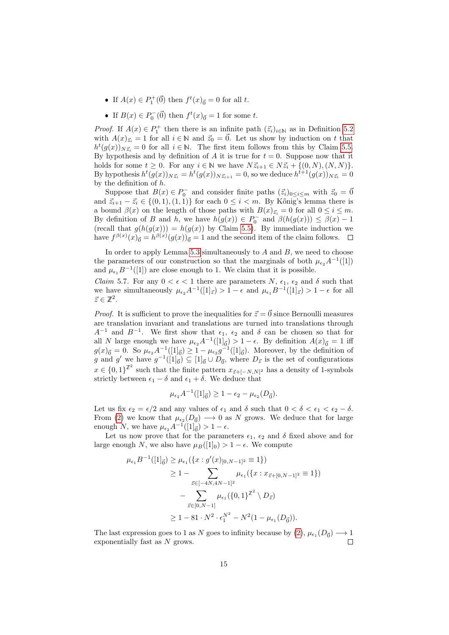- If  $A(x) \in P_1^+(\vec{0})$  then  $f^t(x)_{\vec{0}} = 0$  for all t.
- If  $B(x) \in P_0^-(\vec{0})$  then  $f^t(x)_{\vec{0}} = 1$  for some t.

*Proof.* If  $A(x) \in P_1^+$  then there is an infinite path  $(\vec{z}_i)_{i \in \mathbb{N}}$  as in Definition [5.2](#page-10-1) with  $A(x)_{\vec{z}_i} = 1$  for all  $i \in \mathbb{N}$  and  $\vec{z}_0 = \vec{0}$ . Let us show by induction on t that  $h^t(g(x))_{N\vec{z}_i} = 0$  for all  $i \in \mathbb{N}$ . The first item follows from this by Claim [5.5.](#page-12-1) By hypothesis and by definition of A it is true for  $t = 0$ . Suppose now that it holds for some  $t \geq 0$ . For any  $i \in \mathbb{N}$  we have  $N\vec{z}_{i+1} \in N\vec{z}_i + \{(0, N), (N, N)\}.$ By hypothesis  $h^t(g(x))_{N\vec{z}_i} = h^t(g(x))_{N\vec{z}_{i+1}} = 0$ , so we deduce  $h^{t+1}(g(x))_{N\vec{z}_i} = 0$ by the definition of  $h$ .

Suppose that  $B(x) \in P_0^-$  and consider finite paths  $(\vec{z}_i)_{0 \le i \le m}$  with  $\vec{z}_0 = \vec{0}$ and  $\vec{z}_{i+1} - \vec{z}_i \in \{(0,1), (1,1)\}\)$  for each  $0 \leq i \leq m$ . By Kőnig's lemma there is a bound  $\beta(x)$  on the length of those paths with  $B(x)_{\vec{z}_i} = 0$  for all  $0 \leq i \leq m$ . By definition of B and h, we have  $h(g(x)) \in P_0^-$  and  $\beta(h(g(x))) \leq \beta(x) - 1$ (recall that  $g(h(g(x))) = h(g(x))$  by Claim [5.5\)](#page-12-1). By immediate induction we have  $f^{\beta(x)}(x)_{\vec{0}} = h^{\beta(x)}(g(x))_{\vec{0}} = 1$  and the second item of the claim follows.

In order to apply Lemma [5.3](#page-10-0) simultaneously to  $A$  and  $B$ , we need to choose the parameters of our construction so that the marginals of both  $\mu_{\epsilon_2}A^{-1}([1])$ and  $\mu_{\epsilon_1} B^{-1}([1])$  are close enough to 1. We claim that it is possible.

<span id="page-14-0"></span>*Claim* 5.7. For any  $0 < \epsilon < 1$  there are parameters N,  $\epsilon_1$ ,  $\epsilon_2$  and  $\delta$  such that we have simultaneously  $\mu_{\epsilon_2} A^{-1}([1]_{\vec{z}}) > 1 - \epsilon$  and  $\mu_{\epsilon_1} B^{-1}([1]_{\vec{z}}) > 1 - \epsilon$  for all  $\vec{z} \in \mathbb{Z}^2$ .

*Proof.* It is sufficient to prove the inequalities for  $\vec{z} = \vec{0}$  since Bernoulli measures are translation invariant and translations are turned into translations through  $A^{-1}$  and  $B^{-1}$ . We first show that  $\epsilon_1$ ,  $\epsilon_2$  and  $\delta$  can be chosen so that for all N large enough we have  $\mu_{\epsilon_2}A^{-1}([1]_{\vec{0}}) > 1 - \epsilon$ . By definition  $A(x)_{\vec{0}} = 1$  iff  $g(x)_{\vec{0}} = 0$ . So  $\mu_{\epsilon_2} A^{-1}([1]_{\vec{0}}) \ge 1 - \mu_{\epsilon_2} g^{-1}([1]_{\vec{0}})$ . Moreover, by the definition of g and g' we have  $g^{-1}([1]_{\vec{0}}) \subseteq [1]_{\vec{0}} \cup D_{\vec{0}}$ , where  $D_{\vec{z}}$  is the set of configurations  $x \in \{0,1\}^{\mathbb{Z}^2}$  such that the finite pattern  $x_{\vec{z}+[-N,N]^2}$  has a density of 1-symbols strictly between  $\epsilon_1 - \delta$  and  $\epsilon_1 + \delta$ . We deduce that

$$
\mu_{\epsilon_2} A^{-1}([1]_{\vec{0}}) \ge 1 - \epsilon_2 - \mu_{\epsilon_2}(D_{\vec{0}}).
$$

Let us fix  $\epsilon_2 = \epsilon/2$  and any values of  $\epsilon_1$  and  $\delta$  such that  $0 < \delta < \epsilon_1 < \epsilon_2 - \delta$ . From [\(2\)](#page-11-1) we know that  $\mu_{\epsilon_2}(D_{\vec{0}}) \longrightarrow 0$  as N grows. We deduce that for large enough N, we have  $\mu_{\epsilon_2} A^{-1}([1]_{\vec{0}}) > 1 - \epsilon$ .

Let us now prove that for the parameters  $\epsilon_1$ ,  $\epsilon_2$  and  $\delta$  fixed above and for large enough N, we also have  $\mu_B([1]_0) > 1 - \epsilon$ . We compute

$$
\mu_{\epsilon_1} B^{-1}([1]_{\vec{0}}) \ge \mu_{\epsilon_1}(\{x : g'(x)_{[0,N-1]^2} \equiv 1\})
$$
  
\n
$$
\ge 1 - \sum_{\vec{z} \in [-4N, 4N-1]^2} \mu_{\epsilon_1}(\{x : x_{\vec{z}+[0,N-1]^2} \equiv 1\})
$$
  
\n
$$
- \sum_{\vec{z} \in [0,N-1]} \mu_{\epsilon_1}(\{0,1\}^{\mathbb{Z}^2} \setminus D_{\vec{z}})
$$
  
\n
$$
\ge 1 - 81 \cdot N^2 \cdot \epsilon_1^{N^2} - N^2(1 - \mu_{\epsilon_1}(D_{\vec{0}})).
$$

The last expression goes to 1 as N goes to infinity because by  $(2)$ ,  $\mu_{\epsilon_1}(D_{\vec{0}}) \longrightarrow 1$ exponentially fast as  $N$  grows.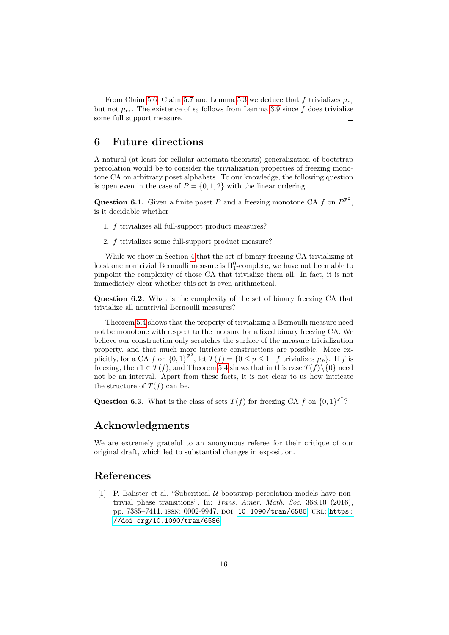From Claim [5.6,](#page-13-1) Claim [5.7](#page-14-0) and Lemma [5.3](#page-10-0) we deduce that f trivializes  $\mu_{\epsilon_1}$ but not  $\mu_{\epsilon_2}$ . The existence of  $\epsilon_3$  follows from Lemma [3.9](#page-5-0) since f does trivialize some full support measure.  $\Box$ 

## 6 Future directions

A natural (at least for cellular automata theorists) generalization of bootstrap percolation would be to consider the trivialization properties of freezing monotone CA on arbitrary poset alphabets. To our knowledge, the following question is open even in the case of  $P = \{0, 1, 2\}$  with the linear ordering.

**Question 6.1.** Given a finite poset P and a freezing monotone CA f on  $P^{\mathbb{Z}^2}$ , is it decidable whether

- 1. f trivializes all full-support product measures?
- 2. f trivializes some full-support product measure?

While we show in Section [4](#page-6-1) that the set of binary freezing CA trivializing at least one nontrivial Bernoulli measure is  $\Pi_1^0$ -complete, we have not been able to pinpoint the complexity of those CA that trivialize them all. In fact, it is not immediately clear whether this set is even arithmetical.

Question 6.2. What is the complexity of the set of binary freezing CA that trivialize all nontrivial Bernoulli measures?

Theorem [5.4](#page-11-0) shows that the property of trivializing a Bernoulli measure need not be monotone with respect to the measure for a fixed binary freezing CA. We believe our construction only scratches the surface of the measure trivialization property, and that much more intricate constructions are possible. More explicitly, for a CA f on  $\{0,1\}^{\mathbb{Z}^2}$ , let  $T(f) = \{0 \le p \le 1 \mid f$  trivializes  $\mu_p\}$ . If f is freezing, then  $1 \in T(f)$ , and Theorem [5.4](#page-11-0) shows that in this case  $T(f)\setminus\{0\}$  need not be an interval. Apart from these facts, it is not clear to us how intricate the structure of  $T(f)$  can be.

**Question 6.3.** What is the class of sets  $T(f)$  for freezing CA f on  $\{0,1\}^{\mathbb{Z}^2}$ ?

# Acknowledgments

We are extremely grateful to an anonymous referee for their critique of our original draft, which led to substantial changes in exposition.

# References

<span id="page-15-0"></span>[1] P. Balister et al. "Subcritical  $U$ -bootstrap percolation models have nontrivial phase transitions". In: Trans. Amer. Math. Soc. 368.10 (2016), pp. 7385-7411. ISSN: 0002-9947. DOI: [10.1090/tran/6586](https://doi.org/10.1090/tran/6586). URL: [https:](https://doi.org/10.1090/tran/6586) [//doi.org/10.1090/tran/6586](https://doi.org/10.1090/tran/6586).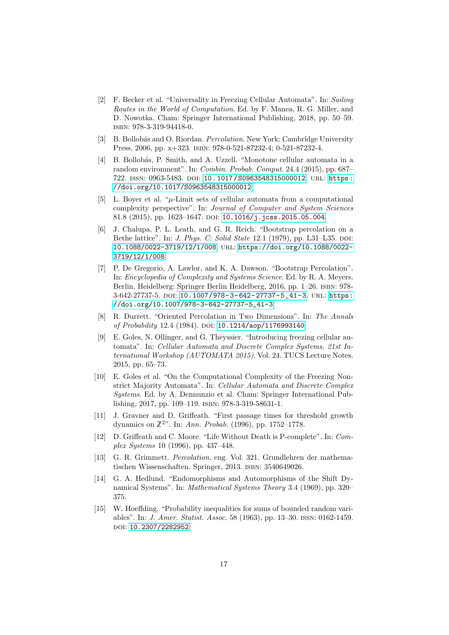- <span id="page-16-7"></span>[2] F. Becker et al. "Universality in Freezing Cellular Automata". In: Sailing Routes in the World of Computation. Ed. by F. Manea, R. G. Miller, and D. Nowotka. Cham: Springer International Publishing, 2018, pp. 50–59. isbn: 978-3-319-94418-0.
- <span id="page-16-12"></span>[3] B. Bollobás and O. Riordan. *Percolation*. New York: Cambridge University Press, 2006, pp. x+323. isbn: 978-0-521-87232-4; 0-521-87232-4.
- <span id="page-16-1"></span>[4] B. Bollobás, P. Smith, and A. Uzzell. "Monotone cellular automata in a random environment". In: Combin. Probab. Comput. 24.4 (2015), pp. 687– 722. issn: 0963-5483. doi: [10.1017/S0963548315000012](https://doi.org/10.1017/S0963548315000012). url: [https:](https://doi.org/10.1017/S0963548315000012) [//doi.org/10.1017/S0963548315000012](https://doi.org/10.1017/S0963548315000012).
- <span id="page-16-2"></span>[5] L. Boyer et al. " $\mu$ -Limit sets of cellular automata from a computational complexity perspective". In: Journal of Computer and System Sciences 81.8 (2015), pp. 1623-1647. DOI: [10.1016/j.jcss.2015.05.004](https://doi.org/10.1016/j.jcss.2015.05.004).
- <span id="page-16-3"></span>[6] J. Chalupa, P. L. Leath, and G. R. Reich. "Bootstrap percolation on a Bethe lattice". In: *J. Phys. C: Solid State* 12.1 (1979), pp. L31–L35. doi: [10.1088/0022-3719/12/1/008](https://doi.org/10.1088/0022-3719/12/1/008). url: [https://doi.org/10.1088/0022-](https://doi.org/10.1088/0022-3719/12/1/008) [3719/12/1/008](https://doi.org/10.1088/0022-3719/12/1/008).
- <span id="page-16-0"></span>[7] P. De Gregorio, A. Lawlor, and K. A. Dawson. "Bootstrap Percolation". In: Encyclopedia of Complexity and Systems Science. Ed. by R. A. Meyers. Berlin, Heidelberg: Springer Berlin Heidelberg, 2016, pp. 1–26. isbn: 978- 3-642-27737-5. DOI: [10.1007/978-3-642-27737-5\\_41-3](https://doi.org/10.1007/978-3-642-27737-5_41-3). URL: [https:](https://doi.org/10.1007/978-3-642-27737-5_41-3) [//doi.org/10.1007/978-3-642-27737-5\\_41-3](https://doi.org/10.1007/978-3-642-27737-5_41-3).
- <span id="page-16-10"></span>[8] R. Durrett. "Oriented Percolation in Two Dimensions". In: The Annals of Probability 12.4 (1984). DOI: [10.1214/aop/1176993140](https://doi.org/10.1214/aop/1176993140).
- <span id="page-16-5"></span>[9] E. Goles, N. Ollinger, and G. Theyssier. "Introducing freezing cellular automata". In: Cellular Automata and Discrete Complex Systems, 21st International Workshop (AUTOMATA 2015). Vol. 24. TUCS Lecture Notes. 2015, pp. 65–73.
- <span id="page-16-6"></span>[10] E. Goles et al. "On the Computational Complexity of the Freezing Nonstrict Majority Automata". In: Cellular Automata and Discrete Complex Systems. Ed. by A. Dennunzio et al. Cham: Springer International Publishing, 2017, pp. 109–119. isbn: 978-3-319-58631-1.
- <span id="page-16-11"></span>[11] J. Gravner and D. Griffeath. "First passage times for threshold growth dynamics on  $\mathbb{Z}^{2n}$ . In: Ann. Probab. (1996), pp. 1752-1778.
- <span id="page-16-4"></span>[12] D. Griffeath and C. Moore. "Life Without Death is P-complete". In: Complex Systems 10 (1996), pp. 437–448.
- <span id="page-16-9"></span>[13] G. R. Grimmett. Percolation. eng. Vol. 321. Grundlehren der mathematischen Wissenschaften. Springer, 2013. isbn: 3540649026.
- <span id="page-16-8"></span>[14] G. A. Hedlund. "Endomorphisms and Automorphisms of the Shift Dynamical Systems". In: Mathematical Systems Theory 3.4 (1969), pp. 320– 375.
- <span id="page-16-13"></span>[15] W. Hoeffding. "Probability inequalities for sums of bounded random variables". In: J. Amer. Statist. Assoc. 58 (1963), pp. 13–30. issn: 0162-1459. doi: [10.2307/2282952](https://doi.org/10.2307/2282952).